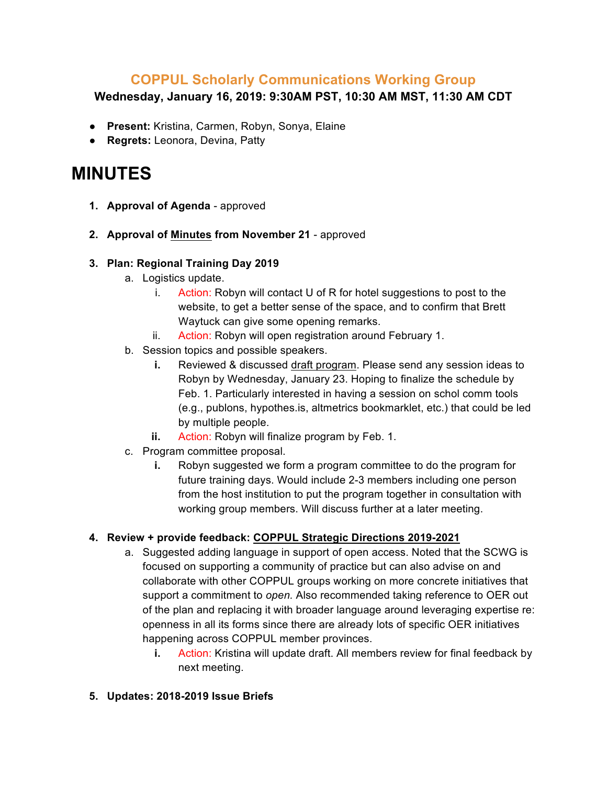## **COPPUL Scholarly Communications Working Group**

**Wednesday, January 16, 2019: 9:30AM PST, 10:30 AM MST, 11:30 AM CDT**

- **Present:** Kristina, Carmen, Robyn, Sonya, Elaine
- **Regrets:** Leonora, Devina, Patty

# **MINUTES**

- **1. Approval of Agenda** approved
- **2. Approval of Minutes from November 21**  approved

#### **3. Plan: Regional Training Day 2019**

- a. Logistics update.
	- i. Action: Robyn will contact U of R for hotel suggestions to post to the website, to get a better sense of the space, and to confirm that Brett Waytuck can give some opening remarks.
	- ii. Action: Robyn will open registration around February 1.
- b. Session topics and possible speakers.
	- **i.** Reviewed & discussed draft program. Please send any session ideas to Robyn by Wednesday, January 23. Hoping to finalize the schedule by Feb. 1. Particularly interested in having a session on schol comm tools (e.g., publons, hypothes.is, altmetrics bookmarklet, etc.) that could be led by multiple people.
	- **ii.** Action: Robyn will finalize program by Feb. 1.
- c. Program committee proposal.
	- **i.** Robyn suggested we form a program committee to do the program for future training days. Would include 2-3 members including one person from the host institution to put the program together in consultation with working group members. Will discuss further at a later meeting.

#### **4. Review + provide feedback: COPPUL Strategic Directions 2019-2021**

- a. Suggested adding language in support of open access. Noted that the SCWG is focused on supporting a community of practice but can also advise on and collaborate with other COPPUL groups working on more concrete initiatives that support a commitment to *open.* Also recommended taking reference to OER out of the plan and replacing it with broader language around leveraging expertise re: openness in all its forms since there are already lots of specific OER initiatives happening across COPPUL member provinces.
	- **i.** Action: Kristina will update draft. All members review for final feedback by next meeting.

#### **5. Updates: 2018-2019 Issue Briefs**